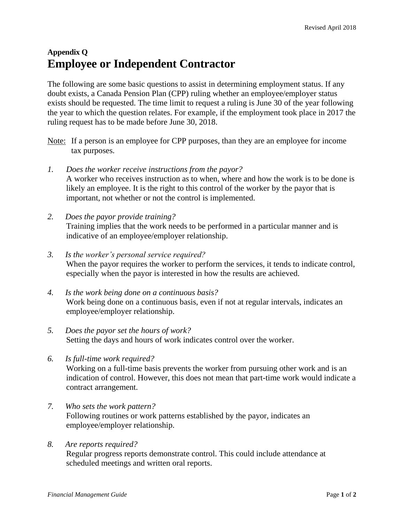## **Appendix Q Employee or Independent Contractor**

The following are some basic questions to assist in determining employment status. If any doubt exists, a Canada Pension Plan (CPP) ruling whether an employee/employer status exists should be requested. The time limit to request a ruling is June 30 of the year following the year to which the question relates. For example, if the employment took place in 2017 the ruling request has to be made before June 30, 2018.

- Note: If a person is an employee for CPP purposes, than they are an employee for income tax purposes.
- *1. Does the worker receive instructions from the payor?* A worker who receives instruction as to when, where and how the work is to be done is likely an employee. It is the right to this control of the worker by the payor that is important, not whether or not the control is implemented.
- *2. Does the payor provide training?* Training implies that the work needs to be performed in a particular manner and is indicative of an employee/employer relationship.
- *3. Is the worker's personal service required?* When the payor requires the worker to perform the services, it tends to indicate control, especially when the payor is interested in how the results are achieved.
- *4. Is the work being done on a continuous basis?* Work being done on a continuous basis, even if not at regular intervals, indicates an employee/employer relationship.
- *5. Does the payor set the hours of work?* Setting the days and hours of work indicates control over the worker.
- *6. Is full-time work required?*

Working on a full-time basis prevents the worker from pursuing other work and is an indication of control. However, this does not mean that part-time work would indicate a contract arrangement.

- *7. Who sets the work pattern?* Following routines or work patterns established by the payor, indicates an employee/employer relationship.
- *8. Are reports required?*

Regular progress reports demonstrate control. This could include attendance at scheduled meetings and written oral reports.